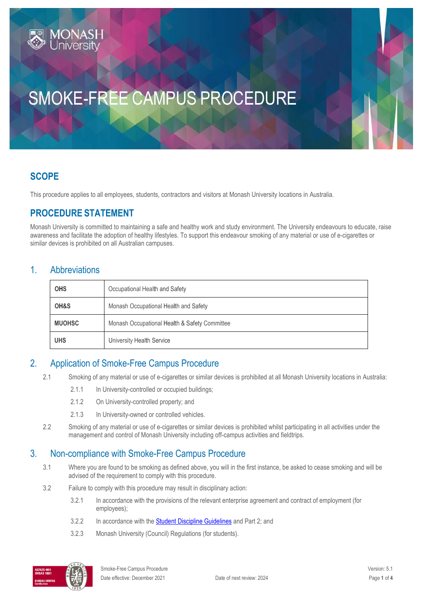# SMOKE-FREE CAMPUS PROCEDURE

# **SCOPE**

This procedure applies to all employees, students, contractors and visitors at Monash University locations in Australia.

## **PROCEDURE STATEMENT**

Monash University is committed to maintaining a safe and healthy work and study environment. The University endeavours to educate, raise awareness and facilitate the adoption of healthy lifestyles. To support this endeavour smoking of any material or use of e-cigarettes or similar devices is prohibited on all Australian campuses.

#### 1. Abbreviations

| <b>OHS</b>    | Occupational Health and Safety                |  |
|---------------|-----------------------------------------------|--|
| OH&S          | Monash Occupational Health and Safety         |  |
| <b>MUOHSC</b> | Monash Occupational Health & Safety Committee |  |
| <b>UHS</b>    | University Health Service                     |  |

## 2. Application of Smoke-Free Campus Procedure

- 2.1 Smoking of any material or use of e-cigarettes or similar devices is prohibited at all Monash University locations in Australia:
	- 2.1.1 In University-controlled or occupied buildings;
	- 2.1.2 On University-controlled property; and
	- 2.1.3 In University-owned or controlled vehicles.
- 2.2 Smoking of any material or use of e-cigarettes or similar devices is prohibited whilst participating in all activities under the management and control of Monash University including off-campus activities and fieldtrips.

#### 3. Non-compliance with Smoke-Free Campus Procedure

- 3.1 Where you are found to be smoking as defined above, you will in the first instance, be asked to cease smoking and will be advised of the requirement to comply with this procedure.
- 3.2 Failure to comply with this procedure may result in disciplinary action:
	- 3.2.1 In accordance with the provisions of the relevant enterprise agreement and contract of employment (for employees);
	- 3.2.2 In accordance with th[e Student Discipline Guidelines](https://www.monash.edu/__data/assets/pdf_file/0005/769640/student-discipline-guidelines-26-Feb-2018.pdf) and Part 2; and
	- 3.2.3 Monash University (Council) Regulations (for students).

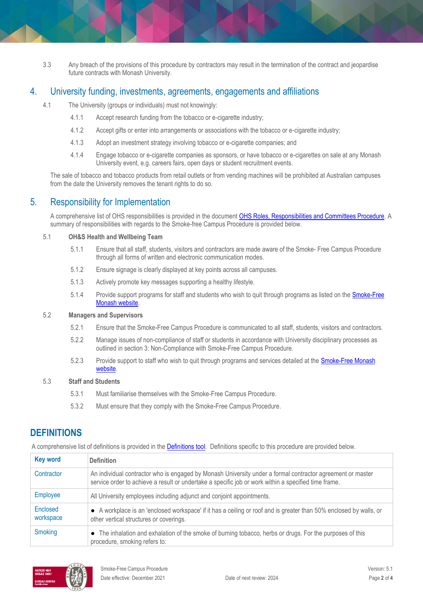3.3 Any breach of the provisions of this procedure by contractors may result in the termination of the contract and jeopardise future contracts with Monash University.

#### 4. University funding, investments, agreements, engagements and affiliations

- 4.1 The University (groups or individuals) must not knowingly:
	- 4.1.1 Accept research funding from the tobacco or e-cigarette industry;
	- 4.1.2 Accept gifts or enter into arrangements or associations with the tobacco or e-cigarette industry;
	- 4.1.3 Adopt an investment strategy involving tobacco or e-cigarette companies; and
	- 4.1.4 Engage tobacco or e-cigarette companies as sponsors, or have tobacco or e-cigarettes on sale at any Monash University event, e.g. careers fairs, open days or student recruitment events.

The sale of tobacco and tobacco products from retail outlets or from vending machines will be prohibited at Australian campuses from the date the University removes the tenant rights to do so.

## 5. Responsibility for Implementation

A comprehensive list of OHS responsibilities is provided in the documen[t OHS Roles, Responsibilities and Committees Procedure.](https://publicpolicydms.monash.edu/Monash/documents/1935644) A summary of responsibilities with regards to the Smoke-free Campus Procedure is provided below.

#### 5.1 **OH&S Health and Wellbeing Team**

- 5.1.1 Ensure that all staff, students, visitors and contractors are made aware of the Smoke- Free Campus Procedure through all forms of written and electronic communication modes.
- 5.1.2 Ensure signage is clearly displayed at key points across all campuses.
- 5.1.3 Actively promote key messages supporting a healthy lifestyle.
- 5.1.4 Provide support programs for staff and students who wish to quit through programs as listed on the [Smoke-Free](https://www.monash.edu/ohs/health-and-wellbeing/smoke-free-monash?SQ_VARIATION_103205=0)  [Monash website.](https://www.monash.edu/ohs/health-and-wellbeing/smoke-free-monash?SQ_VARIATION_103205=0)

#### 5.2 **Managers and Supervisors**

- 5.2.1 Ensure that the Smoke-Free Campus Procedure is communicated to all staff, students, visitors and contractors.
- 5.2.2 Manage issues of non-compliance of staff or students in accordance with University disciplinary processes as outlined in section 3: Non-Compliance with Smoke-Free Campus Procedure.
- 5.2.3 Provide support to staff who wish to quit through programs and services detailed at the **Smoke-Free Monash** [website.](https://www.monash.edu/ohs/health-and-wellbeing/smoke-free-monash?SQ_VARIATION_103205=0)

#### 5.3 **Staff and Students**

- 5.3.1 Must familiarise themselves with the Smoke-Free Campus Procedure.
- 5.3.2 Must ensure that they comply with the Smoke-Free Campus Procedure.

## **DEFINITIONS**

A comprehensive list of definitions is provided in the **Definitions tool**. Definitions specific to this procedure are provided below.

| <b>Key word</b>       | <b>Definition</b>                                                                                                                                                                                                  |  |
|-----------------------|--------------------------------------------------------------------------------------------------------------------------------------------------------------------------------------------------------------------|--|
| Contractor            | An individual contractor who is engaged by Monash University under a formal contractor agreement or master<br>service order to achieve a result or undertake a specific job or work within a specified time frame. |  |
| <b>Employee</b>       | All University employees including adjunct and conjoint appointments.                                                                                                                                              |  |
| Enclosed<br>workspace | • A workplace is an 'enclosed workspace' if it has a ceiling or roof and is greater than 50% enclosed by walls, or<br>other vertical structures or coverings.                                                      |  |
| Smoking               | The inhalation and exhalation of the smoke of burning tobacco, herbs or drugs. For the purposes of this<br>$\bullet$<br>procedure, smoking refers to:                                                              |  |

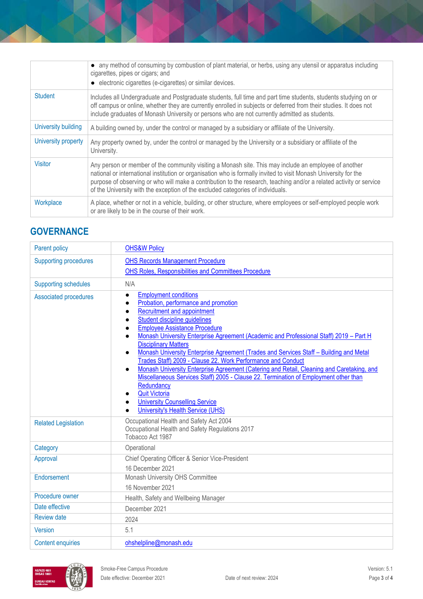|                     | • any method of consuming by combustion of plant material, or herbs, using any utensil or apparatus including<br>cigarettes, pipes or cigars; and<br>• electronic cigarettes (e-cigarettes) or similar devices.                                                                                                                                                                                                                     |  |
|---------------------|-------------------------------------------------------------------------------------------------------------------------------------------------------------------------------------------------------------------------------------------------------------------------------------------------------------------------------------------------------------------------------------------------------------------------------------|--|
| <b>Student</b>      | Includes all Undergraduate and Postgraduate students, full time and part time students, students studying on or<br>off campus or online, whether they are currently enrolled in subjects or deferred from their studies. It does not<br>include graduates of Monash University or persons who are not currently admitted as students.                                                                                               |  |
| University building | A building owned by, under the control or managed by a subsidiary or affiliate of the University.                                                                                                                                                                                                                                                                                                                                   |  |
| University property | Any property owned by, under the control or managed by the University or a subsidiary or affiliate of the<br>University.                                                                                                                                                                                                                                                                                                            |  |
| Visitor             | Any person or member of the community visiting a Monash site. This may include an employee of another<br>national or international institution or organisation who is formally invited to visit Monash University for the<br>purpose of observing or who will make a contribution to the research, teaching and/or a related activity or service<br>of the University with the exception of the excluded categories of individuals. |  |
| Workplace           | A place, whether or not in a vehicle, building, or other structure, where employees or self-employed people work<br>or are likely to be in the course of their work.                                                                                                                                                                                                                                                                |  |

# **GOVERNANCE**

| Parent policy                | <b>OHS&amp;W Policy</b>                                                                                                                                                                                                                                                                                                                                                                                                                                                                                                                                                                                                                                                                                                                                                               |  |
|------------------------------|---------------------------------------------------------------------------------------------------------------------------------------------------------------------------------------------------------------------------------------------------------------------------------------------------------------------------------------------------------------------------------------------------------------------------------------------------------------------------------------------------------------------------------------------------------------------------------------------------------------------------------------------------------------------------------------------------------------------------------------------------------------------------------------|--|
| <b>Supporting procedures</b> | <b>OHS Records Management Procedure</b>                                                                                                                                                                                                                                                                                                                                                                                                                                                                                                                                                                                                                                                                                                                                               |  |
|                              | OHS Roles, Responsibilities and Committees Procedure                                                                                                                                                                                                                                                                                                                                                                                                                                                                                                                                                                                                                                                                                                                                  |  |
| <b>Supporting schedules</b>  | N/A                                                                                                                                                                                                                                                                                                                                                                                                                                                                                                                                                                                                                                                                                                                                                                                   |  |
| <b>Associated procedures</b> | <b>Employment conditions</b><br>$\bullet$<br>Probation, performance and promotion<br>Recruitment and appointment<br>Student discipline quidelines<br><b>Employee Assistance Procedure</b><br>Monash University Enterprise Agreement (Academic and Professional Staff) 2019 - Part H<br><b>Disciplinary Matters</b><br>Monash University Enterprise Agreement (Trades and Services Staff - Building and Metal<br>Trades Staff) 2009 - Clause 22. Work Performance and Conduct<br>Monash University Enterprise Agreement (Catering and Retail, Cleaning and Caretaking, and<br>Miscellaneous Services Staff) 2005 - Clause 22. Termination of Employment other than<br>Redundancy<br><b>Quit Victoria</b><br><b>University Counselling Service</b><br>University's Health Service (UHS) |  |
| <b>Related Legislation</b>   | Occupational Health and Safety Act 2004<br>Occupational Health and Safety Regulations 2017<br>Tobacco Act 1987                                                                                                                                                                                                                                                                                                                                                                                                                                                                                                                                                                                                                                                                        |  |
| Category                     | Operational                                                                                                                                                                                                                                                                                                                                                                                                                                                                                                                                                                                                                                                                                                                                                                           |  |
| Approval                     | Chief Operating Officer & Senior Vice-President                                                                                                                                                                                                                                                                                                                                                                                                                                                                                                                                                                                                                                                                                                                                       |  |
|                              | 16 December 2021                                                                                                                                                                                                                                                                                                                                                                                                                                                                                                                                                                                                                                                                                                                                                                      |  |
| Endorsement                  | Monash University OHS Committee                                                                                                                                                                                                                                                                                                                                                                                                                                                                                                                                                                                                                                                                                                                                                       |  |
|                              | 16 November 2021                                                                                                                                                                                                                                                                                                                                                                                                                                                                                                                                                                                                                                                                                                                                                                      |  |
| Procedure owner              | Health, Safety and Wellbeing Manager                                                                                                                                                                                                                                                                                                                                                                                                                                                                                                                                                                                                                                                                                                                                                  |  |
| Date effective               | December 2021                                                                                                                                                                                                                                                                                                                                                                                                                                                                                                                                                                                                                                                                                                                                                                         |  |
| <b>Review date</b>           | 2024                                                                                                                                                                                                                                                                                                                                                                                                                                                                                                                                                                                                                                                                                                                                                                                  |  |
| <b>Version</b>               | 5.1                                                                                                                                                                                                                                                                                                                                                                                                                                                                                                                                                                                                                                                                                                                                                                                   |  |
| <b>Content enquiries</b>     | ohshelpline@monash.edu                                                                                                                                                                                                                                                                                                                                                                                                                                                                                                                                                                                                                                                                                                                                                                |  |